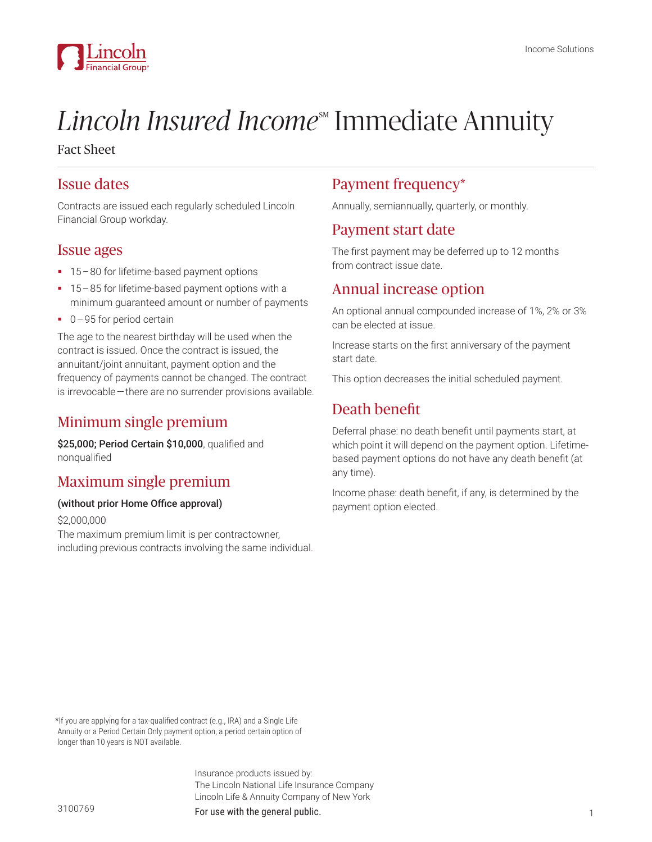

# *Lincoln Insured Income*<sup>M</sup> Immediate Annuity

Fact Sheet

#### Issue dates

Contracts are issued each regularly scheduled Lincoln Financial Group workday.

#### Issue ages

- 15 80 for lifetime-based payment options
- 15 85 for lifetime-based payment options with a minimum guaranteed amount or number of payments
- 0-95 for period certain

The age to the nearest birthday will be used when the contract is issued. Once the contract is issued, the annuitant/joint annuitant, payment option and the frequency of payments cannot be changed. The contract is irrevocable—there are no surrender provisions available.

## Minimum single premium

\$25,000; Period Certain \$10,000, qualified and nonqualified

### Maximum single premium

#### (without prior Home Office approval)

\$2,000,000

The maximum premium limit is per contractowner, including previous contracts involving the same individual.

#### Payment frequency\*

Annually, semiannually, quarterly, or monthly.

#### Payment start date

The first payment may be deferred up to 12 months from contract issue date.

#### Annual increase option

An optional annual compounded increase of 1%, 2% or 3% can be elected at issue.

Increase starts on the first anniversary of the payment start date.

This option decreases the initial scheduled payment.

## Death benefit

Deferral phase: no death benefit until payments start, at which point it will depend on the payment option. Lifetimebased payment options do not have any death benefit (at any time).

Income phase: death benefit, if any, is determined by the payment option elected.

 \*If you are applying for a tax-qualified contract (e.g., IRA) and a Single Life Annuity or a Period Certain Only payment option, a period certain option of longer than 10 years is NOT available.

> Insurance products issued by: The Lincoln National Life Insurance Company Lincoln Life & Annuity Company of New York

For use with the general public. The state of the state of the state of the state of the state of the state of the state of the state of the state of the state of the state of the state of the state of the state of the sta